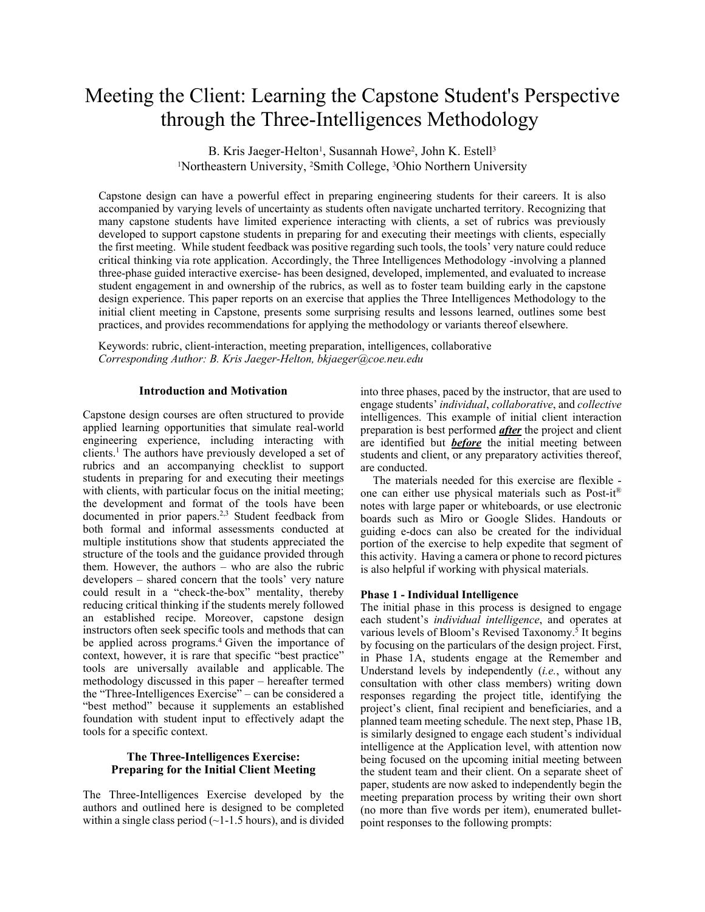# Meeting the Client: Learning the Capstone Student's Perspective through the Three-Intelligences Methodology

B. Kris Jaeger-Helton<sup>1</sup>, Susannah Howe<sup>2</sup>, John K. Estell<sup>3</sup> <sup>1</sup>Northeastern University, <sup>2</sup>Smith College, <sup>3</sup>Ohio Northern University

Capstone design can have a powerful effect in preparing engineering students for their careers. It is also accompanied by varying levels of uncertainty as students often navigate uncharted territory. Recognizing that many capstone students have limited experience interacting with clients, a set of rubrics was previously developed to support capstone students in preparing for and executing their meetings with clients, especially the first meeting. While student feedback was positive regarding such tools, the tools' very nature could reduce critical thinking via rote application. Accordingly, the Three Intelligences Methodology -involving a planned three-phase guided interactive exercise- has been designed, developed, implemented, and evaluated to increase student engagement in and ownership of the rubrics, as well as to foster team building early in the capstone design experience. This paper reports on an exercise that applies the Three Intelligences Methodology to the initial client meeting in Capstone, presents some surprising results and lessons learned, outlines some best practices, and provides recommendations for applying the methodology or variants thereof elsewhere.

Keywords: rubric, client-interaction, meeting preparation, intelligences, collaborative *Corresponding Author: B. Kris Jaeger-Helton, bkjaeger@coe.neu.edu*

#### **Introduction and Motivation**

Capstone design courses are often structured to provide applied learning opportunities that simulate real-world engineering experience, including interacting with clients.<sup>1</sup> The authors have previously developed a set of rubrics and an accompanying checklist to support students in preparing for and executing their meetings with clients, with particular focus on the initial meeting; the development and format of the tools have been documented in prior papers.2,3 Student feedback from both formal and informal assessments conducted at multiple institutions show that students appreciated the structure of the tools and the guidance provided through them. However, the authors – who are also the rubric developers – shared concern that the tools' very nature could result in a "check-the-box" mentality, thereby reducing critical thinking if the students merely followed an established recipe. Moreover, capstone design instructors often seek specific tools and methods that can be applied across programs.<sup>4</sup> Given the importance of context, however, it is rare that specific "best practice" tools are universally available and applicable. The methodology discussed in this paper – hereafter termed the "Three-Intelligences Exercise" – can be considered a "best method" because it supplements an established foundation with student input to effectively adapt the tools for a specific context.

# **The Three-Intelligences Exercise: Preparing for the Initial Client Meeting**

The Three-Intelligences Exercise developed by the authors and outlined here is designed to be completed within a single class period  $(-1-1.5$  hours), and is divided into three phases, paced by the instructor, that are used to engage students' *individual*, *collaborative*, and *collective*  intelligences. This example of initial client interaction preparation is best performed *after* the project and client are identified but *before* the initial meeting between students and client, or any preparatory activities thereof, are conducted.

The materials needed for this exercise are flexible one can either use physical materials such as Post-it® notes with large paper or whiteboards, or use electronic boards such as Miro or Google Slides. Handouts or guiding e-docs can also be created for the individual portion of the exercise to help expedite that segment of this activity. Having a camera or phone to record pictures is also helpful if working with physical materials.

# **Phase 1 - Individual Intelligence**

The initial phase in this process is designed to engage each student's *individual intelligence*, and operates at various levels of Bloom's Revised Taxonomy.<sup>5</sup> It begins by focusing on the particulars of the design project. First, in Phase 1A, students engage at the Remember and Understand levels by independently (*i.e.*, without any consultation with other class members) writing down responses regarding the project title, identifying the project's client, final recipient and beneficiaries, and a planned team meeting schedule. The next step, Phase 1B, is similarly designed to engage each student's individual intelligence at the Application level, with attention now being focused on the upcoming initial meeting between the student team and their client. On a separate sheet of paper, students are now asked to independently begin the meeting preparation process by writing their own short (no more than five words per item), enumerated bulletpoint responses to the following prompts: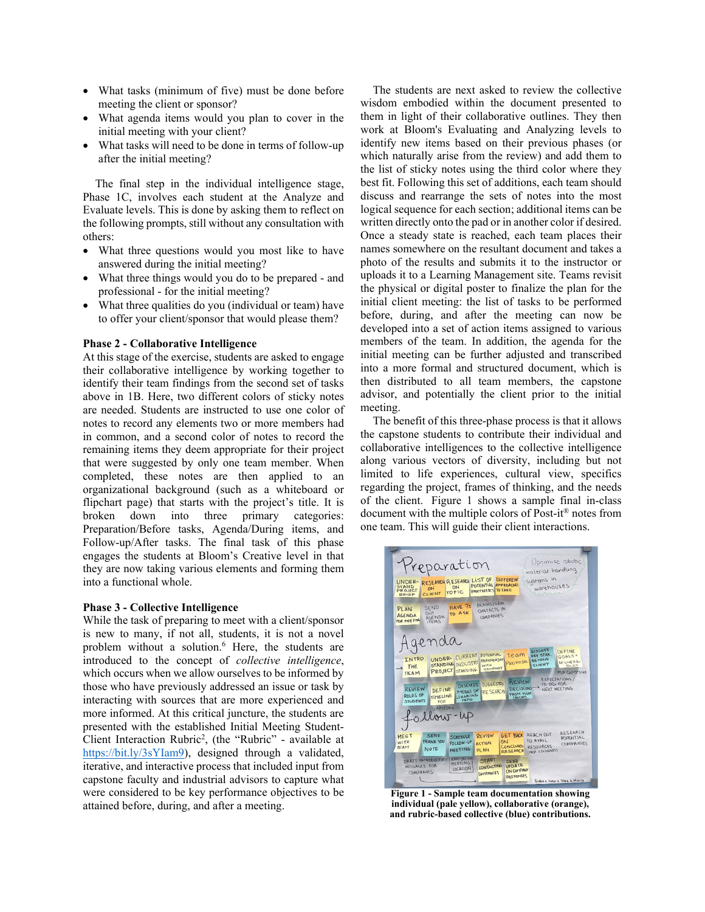- What tasks (minimum of five) must be done before meeting the client or sponsor?
- What agenda items would you plan to cover in the initial meeting with your client?
- What tasks will need to be done in terms of follow-up after the initial meeting?

The final step in the individual intelligence stage, Phase 1C, involves each student at the Analyze and Evaluate levels. This is done by asking them to reflect on the following prompts, still without any consultation with others:

- What three questions would you most like to have answered during the initial meeting?
- What three things would you do to be prepared and professional - for the initial meeting?
- What three qualities do you (individual or team) have to offer your client/sponsor that would please them?

#### **Phase 2 - Collaborative Intelligence**

At this stage of the exercise, students are asked to engage their collaborative intelligence by working together to identify their team findings from the second set of tasks above in 1B. Here, two different colors of sticky notes are needed. Students are instructed to use one color of notes to record any elements two or more members had in common, and a second color of notes to record the remaining items they deem appropriate for their project that were suggested by only one team member. When completed, these notes are then applied to an organizational background (such as a whiteboard or flipchart page) that starts with the project's title. It is broken down into three primary categories: Preparation/Before tasks, Agenda/During items, and Follow-up/After tasks. The final task of this phase engages the students at Bloom's Creative level in that they are now taking various elements and forming them into a functional whole.

#### **Phase 3 - Collective Intelligence**

While the task of preparing to meet with a client/sponsor is new to many, if not all, students, it is not a novel problem without a solution.<sup>6</sup> Here, the students are introduced to the concept of *collective intelligence*, which occurs when we allow ourselves to be informed by those who have previously addressed an issue or task by interacting with sources that are more experienced and more informed. At this critical juncture, the students are presented with the established Initial Meeting Student-Client Interaction Rubric<sup>2</sup>, (the "Rubric" - available at https://bit.ly/3sYIam9), designed through a validated, iterative, and interactive process that included input from capstone faculty and industrial advisors to capture what were considered to be key performance objectives to be attained before, during, and after a meeting.

The students are next asked to review the collective wisdom embodied within the document presented to them in light of their collaborative outlines. They then work at Bloom's Evaluating and Analyzing levels to identify new items based on their previous phases (or which naturally arise from the review) and add them to the list of sticky notes using the third color where they best fit. Following this set of additions, each team should discuss and rearrange the sets of notes into the most logical sequence for each section; additional items can be written directly onto the pad or in another color if desired. Once a steady state is reached, each team places their names somewhere on the resultant document and takes a photo of the results and submits it to the instructor or uploads it to a Learning Management site. Teams revisit the physical or digital poster to finalize the plan for the initial client meeting: the list of tasks to be performed before, during, and after the meeting can now be developed into a set of action items assigned to various members of the team. In addition, the agenda for the initial meeting can be further adjusted and transcribed into a more formal and structured document, which is then distributed to all team members, the capstone advisor, and potentially the client prior to the initial meeting.<br>The benefit of this three-phase process is that it allows

the capstone students to contribute their individual and collaborative intelligences to the collective intelligence along various vectors of diversity, including but not limited to life experiences, cultural view, specifics regarding the project, frames of thinking, and the needs of the client. Figure 1 shows a sample final in-class document with the multiple colors of Post-it® notes from one team. This will guide their client interactions.



**Figure 1 - Sample team documentation showing individual (pale yellow), collaborative (orange), and rubric-based collective (blue) contributions.**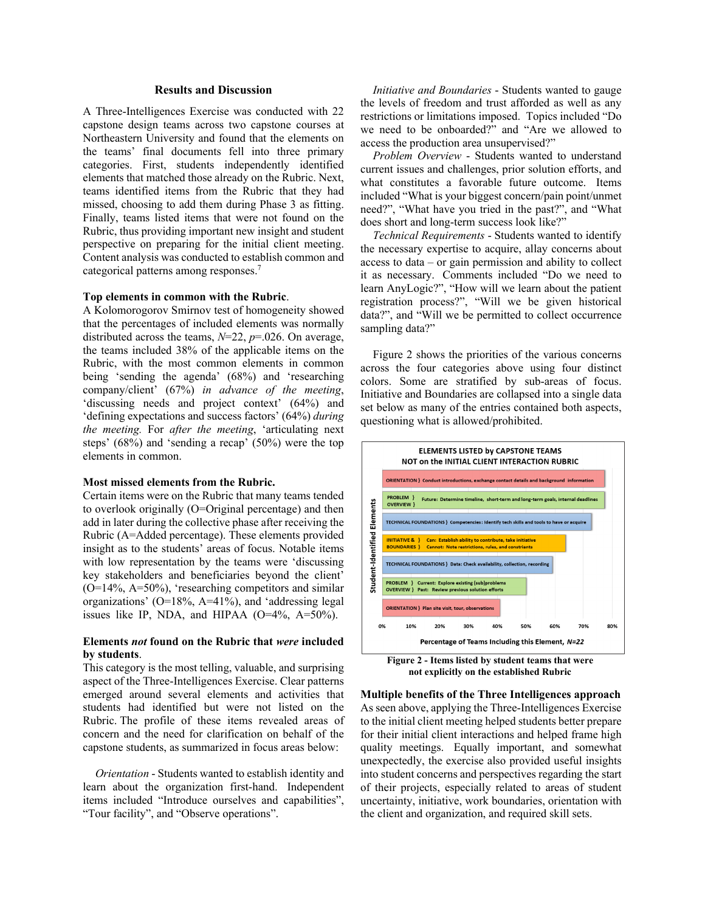# **Results and Discussion**

A Three-Intelligences Exercise was conducted with 22 capstone design teams across two capstone courses at Northeastern University and found that the elements on the teams' final documents fell into three primary categories. First, students independently identified elements that matched those already on the Rubric. Next, teams identified items from the Rubric that they had missed, choosing to add them during Phase 3 as fitting. Finally, teams listed items that were not found on the Rubric, thus providing important new insight and student perspective on preparing for the initial client meeting. Content analysis was conducted to establish common and categorical patterns among responses.<sup>7</sup>

#### **Top elements in common with the Rubric**.

A Kolomorogorov Smirnov test of homogeneity showed that the percentages of included elements was normally distributed across the teams, *N*=22, *p*=.026. On average, the teams included 38% of the applicable items on the Rubric, with the most common elements in common being 'sending the agenda' (68%) and 'researching company/client' (67%) *in advance of the meeting*, 'discussing needs and project context' (64%) and 'defining expectations and success factors' (64%) *during the meeting.* For *after the meeting*, 'articulating next steps' (68%) and 'sending a recap' (50%) were the top elements in common.

#### **Most missed elements from the Rubric.**

Certain items were on the Rubric that many teams tended to overlook originally (O=Original percentage) and then add in later during the collective phase after receiving the Rubric (A=Added percentage). These elements provided insight as to the students' areas of focus. Notable items with low representation by the teams were 'discussing key stakeholders and beneficiaries beyond the client' (O=14%, A=50%), 'researching competitors and similar organizations' (O=18%, A=41%), and 'addressing legal issues like IP, NDA, and HIPAA (O=4%, A=50%).

# **Elements** *not* **found on the Rubric that** *were* **included by students**.

This category is the most telling, valuable, and surprising aspect of the Three-Intelligences Exercise. Clear patterns emerged around several elements and activities that students had identified but were not listed on the Rubric. The profile of these items revealed areas of concern and the need for clarification on behalf of the capstone students, as summarized in focus areas below:

*Orientation* - Students wanted to establish identity and learn about the organization first-hand. Independent items included "Introduce ourselves and capabilities", "Tour facility", and "Observe operations".

*Initiative and Boundaries* - Students wanted to gauge the levels of freedom and trust afforded as well as any restrictions or limitations imposed. Topics included "Do we need to be onboarded?" and "Are we allowed to access the production area unsupervised?"

*Problem Overview* - Students wanted to understand current issues and challenges, prior solution efforts, and what constitutes a favorable future outcome. Items included "What is your biggest concern/pain point/unmet need?", "What have you tried in the past?", and "What does short and long-term success look like?"

*Technical Requirements* - Students wanted to identify the necessary expertise to acquire, allay concerns about access to data – or gain permission and ability to collect it as necessary. Comments included "Do we need to learn AnyLogic?", "How will we learn about the patient registration process?", "Will we be given historical data?", and "Will we be permitted to collect occurrence sampling data?"

Figure 2 shows the priorities of the various concerns across the four categories above using four distinct colors. Some are stratified by sub-areas of focus. Initiative and Boundaries are collapsed into a single data set below as many of the entries contained both aspects, questioning what is allowed/prohibited.



**Figure 2 - Items listed by student teams that were not explicitly on the established Rubric** 

**Multiple benefits of the Three Intelligences approach** As seen above, applying the Three-Intelligences Exercise to the initial client meeting helped students better prepare for their initial client interactions and helped frame high quality meetings. Equally important, and somewhat unexpectedly, the exercise also provided useful insights into student concerns and perspectives regarding the start of their projects, especially related to areas of student uncertainty, initiative, work boundaries, orientation with the client and organization, and required skill sets.